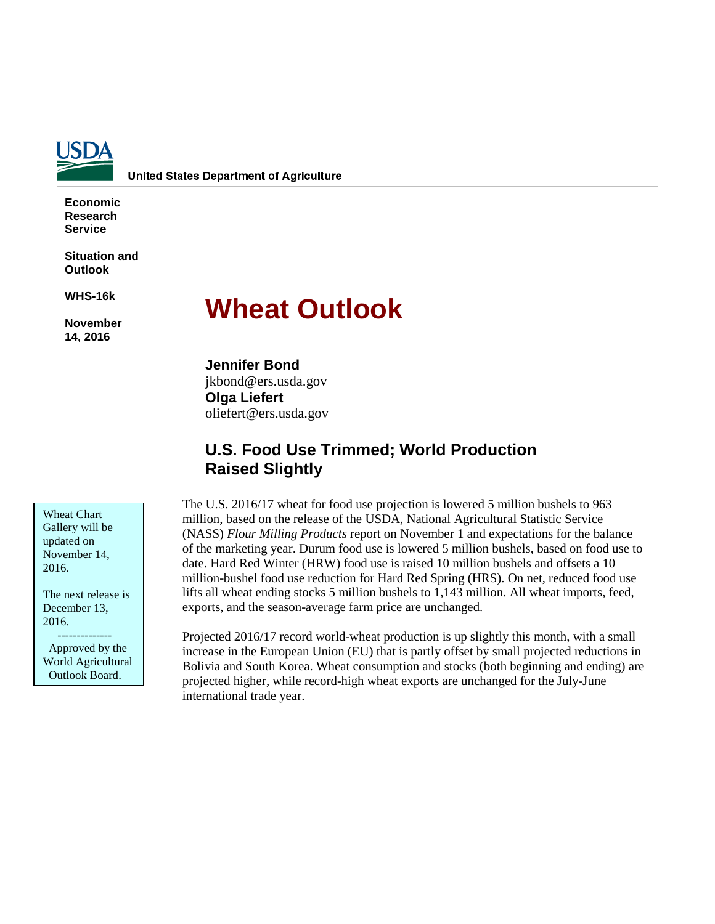

**United States Department of Agriculture** 

**Economic Research Service**

**Situation and Outlook**

**WHS-16k** 

**November 14, 2016**

# **Wheat Outlook**

**Jennifer Bond** jkbond@ers.usda.gov **Olga Liefert** oliefert@ers.usda.gov

# **U.S. Food Use Trimmed; World Production Raised Slightly**

Wheat Chart Gallery will be updated on November 14, 2016.

The next release is December 13, 2016.

 -------------- Approved by the World Agricultural Outlook Board.

The U.S. 2016/17 wheat for food use projection is lowered 5 million bushels to 963 million, based on the release of the USDA, National Agricultural Statistic Service (NASS) *Flour Milling Products* report on November 1 and expectations for the balance of the marketing year. Durum food use is lowered 5 million bushels, based on food use to date. Hard Red Winter (HRW) food use is raised 10 million bushels and offsets a 10 million-bushel food use reduction for Hard Red Spring (HRS). On net, reduced food use lifts all wheat ending stocks 5 million bushels to 1,143 million. All wheat imports, feed, exports, and the season-average farm price are unchanged.

Projected 2016/17 record world-wheat production is up slightly this month, with a small increase in the European Union (EU) that is partly offset by small projected reductions in Bolivia and South Korea. Wheat consumption and stocks (both beginning and ending) are projected higher, while record-high wheat exports are unchanged for the July-June international trade year.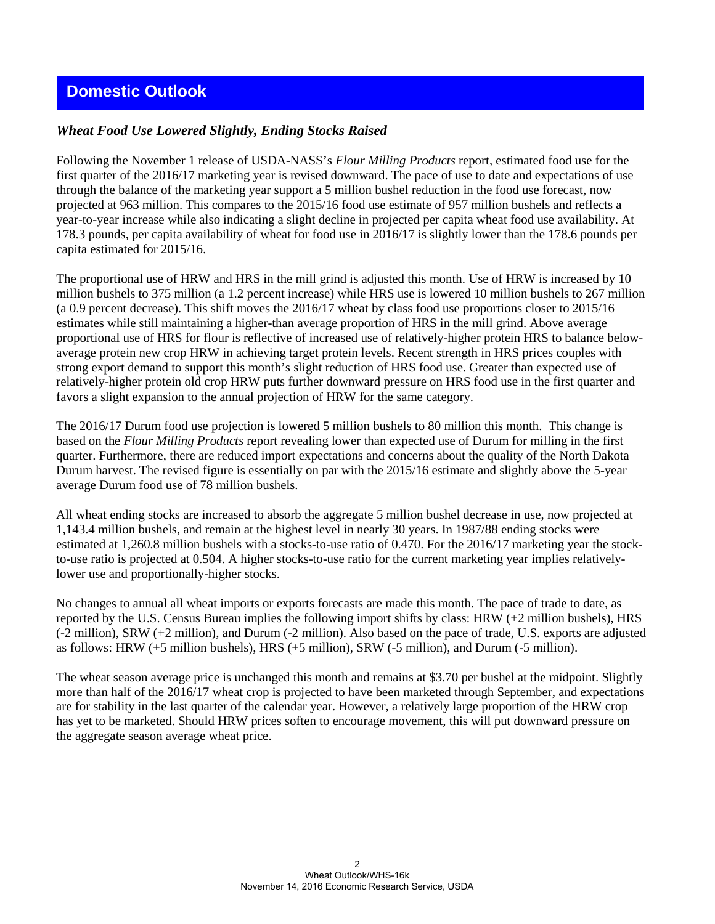# **Domestic Outlook**

## *Wheat Food Use Lowered Slightly, Ending Stocks Raised*

Following the November 1 release of USDA-NASS's *Flour Milling Products* report, estimated food use for the first quarter of the 2016/17 marketing year is revised downward. The pace of use to date and expectations of use through the balance of the marketing year support a 5 million bushel reduction in the food use forecast, now projected at 963 million. This compares to the 2015/16 food use estimate of 957 million bushels and reflects a year-to-year increase while also indicating a slight decline in projected per capita wheat food use availability. At 178.3 pounds, per capita availability of wheat for food use in 2016/17 is slightly lower than the 178.6 pounds per capita estimated for 2015/16.

The proportional use of HRW and HRS in the mill grind is adjusted this month. Use of HRW is increased by 10 million bushels to 375 million (a 1.2 percent increase) while HRS use is lowered 10 million bushels to 267 million (a 0.9 percent decrease). This shift moves the 2016/17 wheat by class food use proportions closer to 2015/16 estimates while still maintaining a higher-than average proportion of HRS in the mill grind. Above average proportional use of HRS for flour is reflective of increased use of relatively-higher protein HRS to balance belowaverage protein new crop HRW in achieving target protein levels. Recent strength in HRS prices couples with strong export demand to support this month's slight reduction of HRS food use. Greater than expected use of relatively-higher protein old crop HRW puts further downward pressure on HRS food use in the first quarter and favors a slight expansion to the annual projection of HRW for the same category.

The 2016/17 Durum food use projection is lowered 5 million bushels to 80 million this month. This change is based on the *Flour Milling Products* report revealing lower than expected use of Durum for milling in the first quarter. Furthermore, there are reduced import expectations and concerns about the quality of the North Dakota Durum harvest. The revised figure is essentially on par with the 2015/16 estimate and slightly above the 5-year average Durum food use of 78 million bushels.

All wheat ending stocks are increased to absorb the aggregate 5 million bushel decrease in use, now projected at 1,143.4 million bushels, and remain at the highest level in nearly 30 years. In 1987/88 ending stocks were estimated at 1,260.8 million bushels with a stocks-to-use ratio of 0.470. For the 2016/17 marketing year the stockto-use ratio is projected at 0.504. A higher stocks-to-use ratio for the current marketing year implies relativelylower use and proportionally-higher stocks.

No changes to annual all wheat imports or exports forecasts are made this month. The pace of trade to date, as reported by the U.S. Census Bureau implies the following import shifts by class: HRW (+2 million bushels), HRS (-2 million), SRW (+2 million), and Durum (-2 million). Also based on the pace of trade, U.S. exports are adjusted as follows: HRW (+5 million bushels), HRS (+5 million), SRW (-5 million), and Durum (-5 million).

The wheat season average price is unchanged this month and remains at \$3.70 per bushel at the midpoint. Slightly more than half of the 2016/17 wheat crop is projected to have been marketed through September, and expectations are for stability in the last quarter of the calendar year. However, a relatively large proportion of the HRW crop has yet to be marketed. Should HRW prices soften to encourage movement, this will put downward pressure on the aggregate season average wheat price.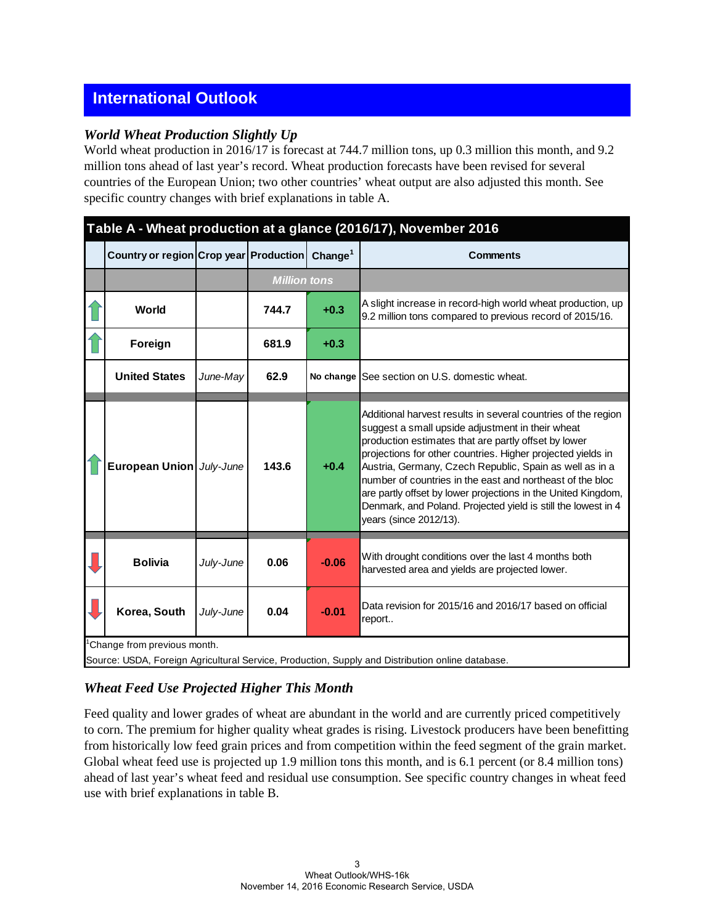# **International Outlook**

### *World Wheat Production Slightly Up*

World wheat production in 2016/17 is forecast at 744.7 million tons, up 0.3 million this month, and 9.2 million tons ahead of last year's record. Wheat production forecasts have been revised for several countries of the European Union; two other countries' wheat output are also adjusted this month. See specific country changes with brief explanations in table A.

# **Table A - Wheat production at a glance (2016/17), November 2016**

| Country or region Crop year Production |           |                     | Change <sup>1</sup> | <b>Comments</b>                                                                                                                                                                                                                                                                                                                                                                                                                                                                                                              |
|----------------------------------------|-----------|---------------------|---------------------|------------------------------------------------------------------------------------------------------------------------------------------------------------------------------------------------------------------------------------------------------------------------------------------------------------------------------------------------------------------------------------------------------------------------------------------------------------------------------------------------------------------------------|
|                                        |           | <b>Million tons</b> |                     |                                                                                                                                                                                                                                                                                                                                                                                                                                                                                                                              |
| World                                  |           | 744.7               | $+0.3$              | A slight increase in record-high world wheat production, up<br>9.2 million tons compared to previous record of 2015/16.                                                                                                                                                                                                                                                                                                                                                                                                      |
| Foreign                                |           | 681.9               | $+0.3$              |                                                                                                                                                                                                                                                                                                                                                                                                                                                                                                                              |
| <b>United States</b>                   | June-May  | 62.9                |                     | No change See section on U.S. domestic wheat.                                                                                                                                                                                                                                                                                                                                                                                                                                                                                |
| European Union July-June               |           | 143.6               | $+0.4$              | Additional harvest results in several countries of the region<br>suggest a small upside adjustment in their wheat<br>production estimates that are partly offset by lower<br>projections for other countries. Higher projected yields in<br>Austria, Germany, Czech Republic, Spain as well as in a<br>number of countries in the east and northeast of the bloc<br>are partly offset by lower projections in the United Kingdom,<br>Denmark, and Poland. Projected yield is still the lowest in 4<br>years (since 2012/13). |
| <b>Bolivia</b>                         | July-June | 0.06                | $-0.06$             | With drought conditions over the last 4 months both<br>harvested area and yields are projected lower.                                                                                                                                                                                                                                                                                                                                                                                                                        |
| Korea, South                           | July-June | 0.04                | $-0.01$             | Data revision for 2015/16 and 2016/17 based on official<br>report                                                                                                                                                                                                                                                                                                                                                                                                                                                            |
| Change from previous month.            |           |                     |                     | Source: USDA, Foreign Agricultural Service, Production, Supply and Distribution online database.                                                                                                                                                                                                                                                                                                                                                                                                                             |

# *Wheat Feed Use Projected Higher This Month*

Feed quality and lower grades of wheat are abundant in the world and are currently priced competitively to corn. The premium for higher quality wheat grades is rising. Livestock producers have been benefitting from historically low feed grain prices and from competition within the feed segment of the grain market. Global wheat feed use is projected up 1.9 million tons this month, and is 6.1 percent (or 8.4 million tons) ahead of last year's wheat feed and residual use consumption. See specific country changes in wheat feed use with brief explanations in table B.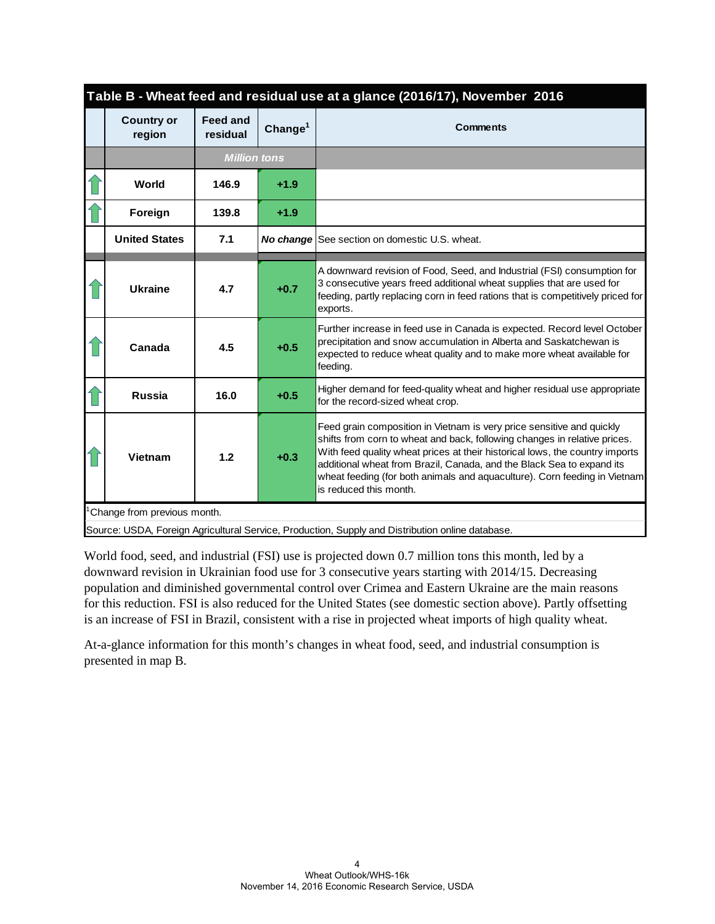|                                          |                             |                     | Table B - Wheat feed and residual use at a glance (2016/17), November 2016                                                                                                                                                                                                                                                                                                                                         |
|------------------------------------------|-----------------------------|---------------------|--------------------------------------------------------------------------------------------------------------------------------------------------------------------------------------------------------------------------------------------------------------------------------------------------------------------------------------------------------------------------------------------------------------------|
| <b>Country or</b><br>region              | <b>Feed and</b><br>residual | Change <sup>1</sup> | <b>Comments</b>                                                                                                                                                                                                                                                                                                                                                                                                    |
|                                          | <b>Million tons</b>         |                     |                                                                                                                                                                                                                                                                                                                                                                                                                    |
| World                                    | 146.9                       | $+1.9$              |                                                                                                                                                                                                                                                                                                                                                                                                                    |
| Foreign                                  | 139.8                       | $+1.9$              |                                                                                                                                                                                                                                                                                                                                                                                                                    |
| <b>United States</b>                     | 7.1                         |                     | <b>No change</b> See section on domestic U.S. wheat.                                                                                                                                                                                                                                                                                                                                                               |
| <b>Ukraine</b>                           | 4.7                         | $+0.7$              | A downward revision of Food, Seed, and Industrial (FSI) consumption for<br>3 consecutive years freed additional wheat supplies that are used for<br>feeding, partly replacing corn in feed rations that is competitively priced for<br>exports.                                                                                                                                                                    |
| Canada                                   | 4.5                         | $+0.5$              | Further increase in feed use in Canada is expected. Record level October<br>precipitation and snow accumulation in Alberta and Saskatchewan is<br>expected to reduce wheat quality and to make more wheat available for<br>feeding.                                                                                                                                                                                |
| <b>Russia</b>                            | 16.0                        | $+0.5$              | Higher demand for feed-quality wheat and higher residual use appropriate<br>for the record-sized wheat crop.                                                                                                                                                                                                                                                                                                       |
| <b>Vietnam</b>                           | 1.2                         | $+0.3$              | Feed grain composition in Vietnam is very price sensitive and quickly<br>shifts from corn to wheat and back, following changes in relative prices.<br>With feed quality wheat prices at their historical lows, the country imports<br>additional wheat from Brazil, Canada, and the Black Sea to expand its<br>wheat feeding (for both animals and aquaculture). Corn feeding in Vietnam<br>is reduced this month. |
| <sup>1</sup> Change from previous month. |                             |                     |                                                                                                                                                                                                                                                                                                                                                                                                                    |
|                                          |                             |                     | Source: USDA, Foreign Agricultural Service, Production, Supply and Distribution online database.                                                                                                                                                                                                                                                                                                                   |

Source: USDA, Foreign Agricultural Service, Production, Supply and Distribution online database.

World food, seed, and industrial (FSI) use is projected down 0.7 million tons this month, led by a downward revision in Ukrainian food use for 3 consecutive years starting with 2014/15. Decreasing population and diminished governmental control over Crimea and Eastern Ukraine are the main reasons for this reduction. FSI is also reduced for the United States (see domestic section above). Partly offsetting is an increase of FSI in Brazil, consistent with a rise in projected wheat imports of high quality wheat.

At-a-glance information for this month's changes in wheat food, seed, and industrial consumption is presented in map B.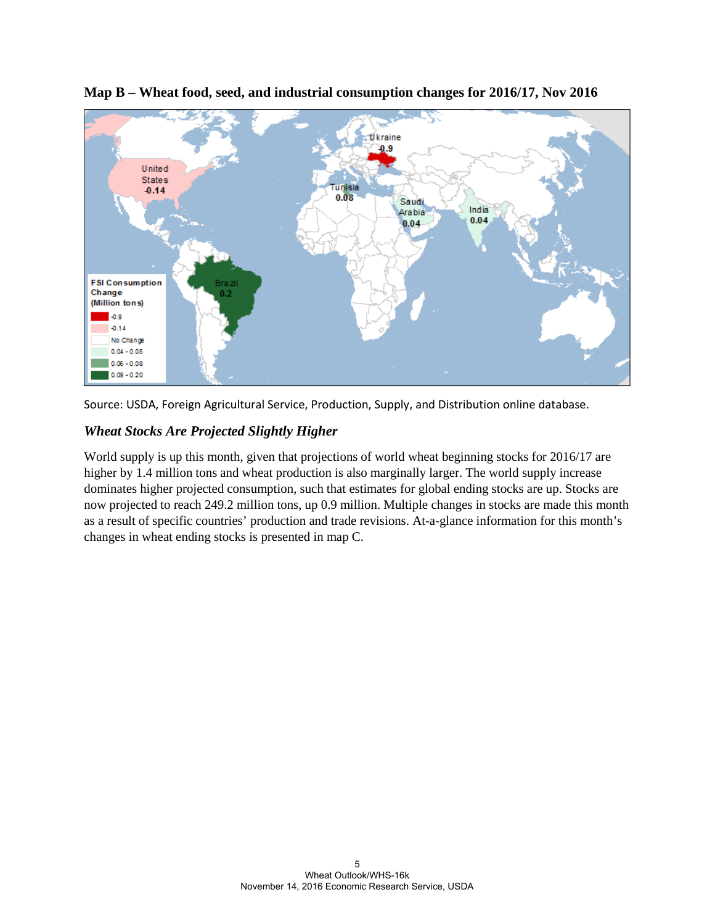





# *Wheat Stocks Are Projected Slightly Higher*

World supply is up this month, given that projections of world wheat beginning stocks for 2016/17 are higher by 1.4 million tons and wheat production is also marginally larger. The world supply increase dominates higher projected consumption, such that estimates for global ending stocks are up. Stocks are now projected to reach 249.2 million tons, up 0.9 million. Multiple changes in stocks are made this month as a result of specific countries' production and trade revisions. At-a-glance information for this month's changes in wheat ending stocks is presented in map C.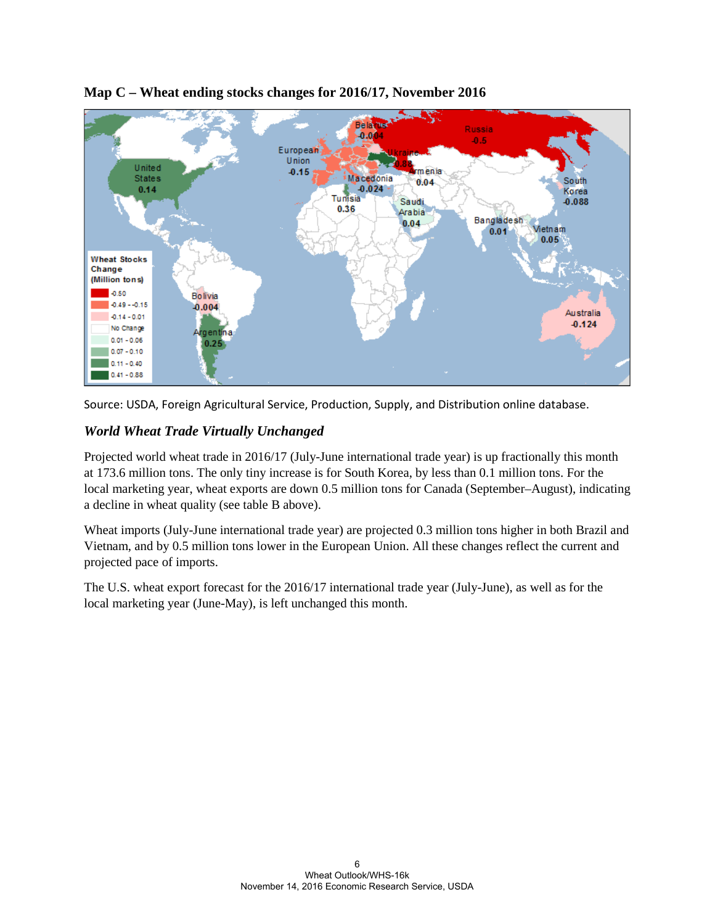

## **Map C – Wheat ending stocks changes for 2016/17, November 2016**



# *World Wheat Trade Virtually Unchanged*

Projected world wheat trade in 2016/17 (July-June international trade year) is up fractionally this month at 173.6 million tons. The only tiny increase is for South Korea, by less than 0.1 million tons. For the local marketing year, wheat exports are down 0.5 million tons for Canada (September–August), indicating a decline in wheat quality (see table B above).

Wheat imports (July-June international trade year) are projected 0.3 million tons higher in both Brazil and Vietnam, and by 0.5 million tons lower in the European Union. All these changes reflect the current and projected pace of imports.

The U.S. wheat export forecast for the 2016/17 international trade year (July-June), as well as for the local marketing year (June-May), is left unchanged this month.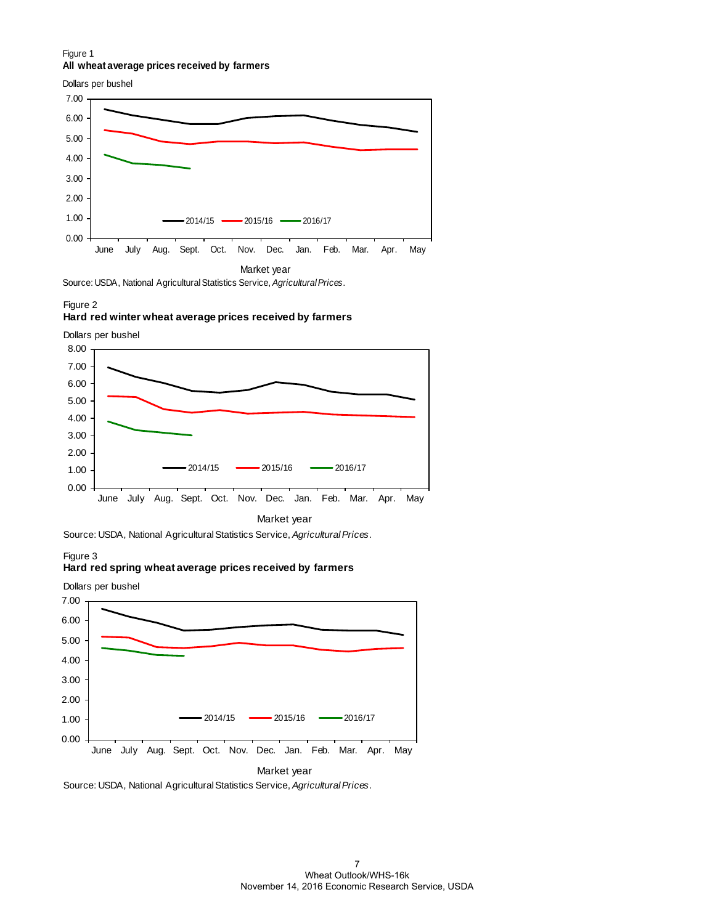#### Figure 1 **All wheat average prices received by farmers**

Dollars per bushel



Source: USDA, National Agricultural Statistics Service, *Agricultural Prices*.

Figure 2

#### **Hard red winter wheat average prices received by farmers**

Dollars per bushel



Source: USDA, National Agricultural Statistics Service, *Agricultural Prices*.

Figure 3

#### **Hard red spring wheat average prices received by farmers**



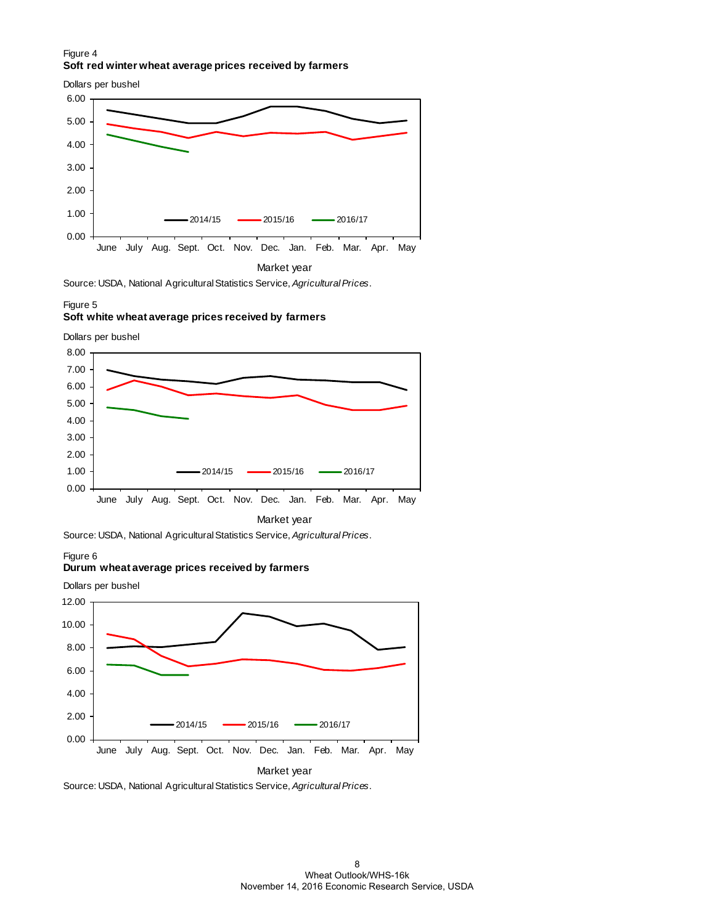#### Figure 4 **Soft red winter wheat average prices received by farmers**

0.00 1.00 2.00 3.00 4.00 5.00 6.00 June July Aug. Sept. Oct. Nov. Dec. Jan. Feb. Mar. Apr. May 2014/15 2015/16 2016/17 Dollars per bushel

Market year

Source: USDA, National Agricultural Statistics Service, *Agricultural Prices*.

#### Figure 5

#### **Soft white wheat average prices received by farmers**

Dollars per bushel



Source: USDA, National Agricultural Statistics Service, *Agricultural Prices*.

Figure 6

#### **Durum wheat average prices received by farmers**



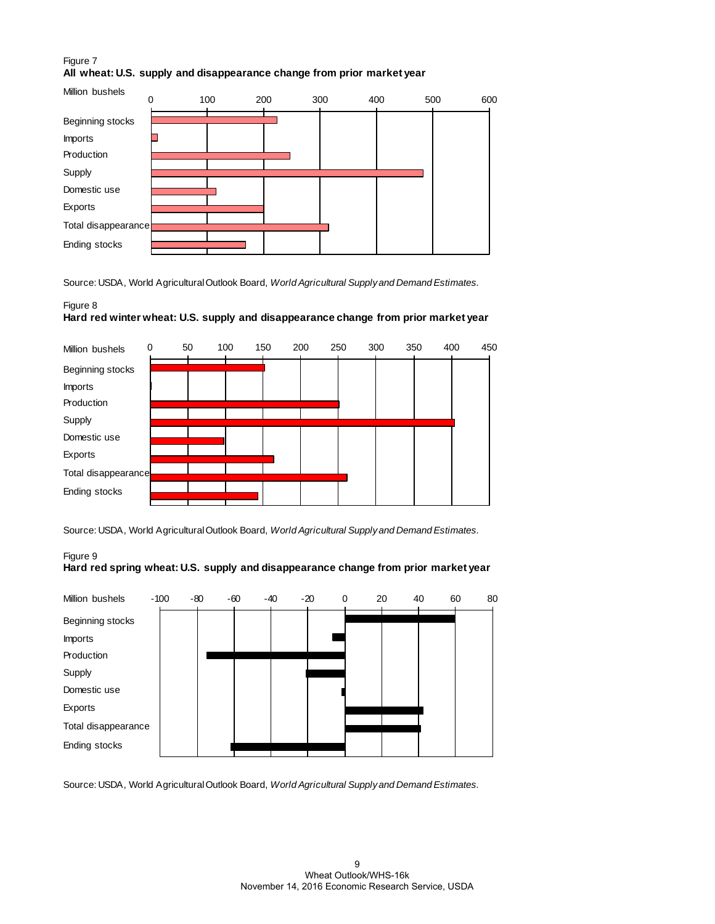### Figure 7 **All wheat: U.S. supply and disappearance change from prior market year**



Source: USDA, World Agricultural Outlook Board, *World Agricultural Supply and Demand Estimates.*

#### Figure 8 **Hard red winter wheat: U.S. supply and disappearance change from prior market year**



Source: USDA, World Agricultural Outlook Board, *World Agricultural Supply and Demand Estimates.*

#### Figure 9 **Hard red spring wheat: U.S. supply and disappearance change from prior market year**



Source: USDA, World Agricultural Outlook Board, *World Agricultural Supply and Demand Estimates.*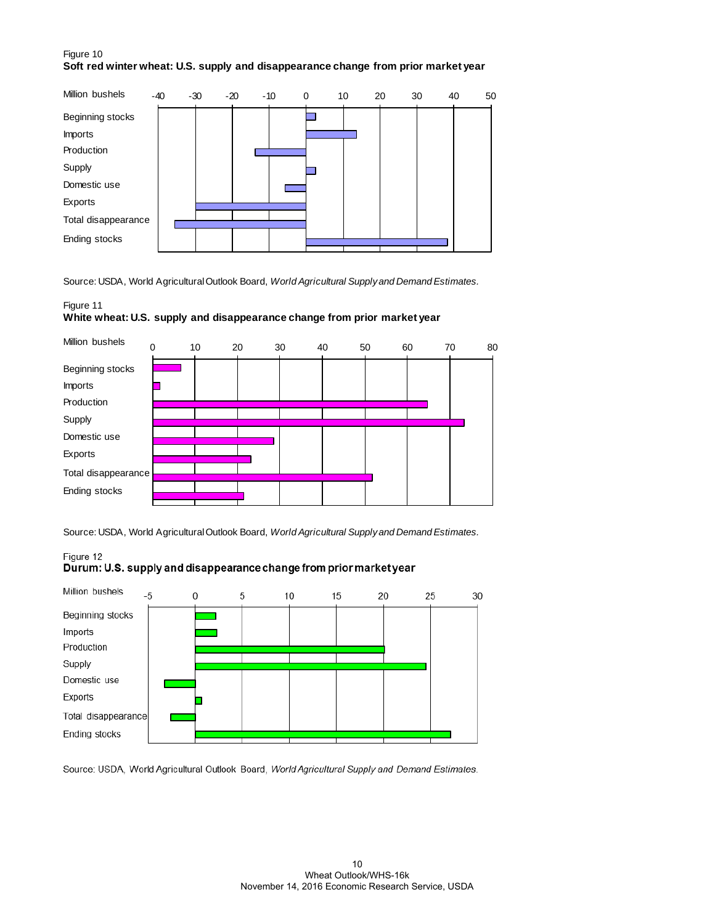#### Figure 10 **Soft red winter wheat: U.S. supply and disappearance change from prior market year**



Source: USDA, World Agricultural Outlook Board, *World Agricultural Supply and Demand Estimates.*

#### Figure 11

#### **White wheat: U.S. supply and disappearance change from prior market year**



Source: USDA, World Agricultural Outlook Board, *World Agricultural Supply and Demand Estimates.*

#### Figure 12

### Durum: U.S. supply and disappearance change from prior market year



Source: USDA, World Agricultural Outlook Board, World Agricultural Supply and Demand Estimates.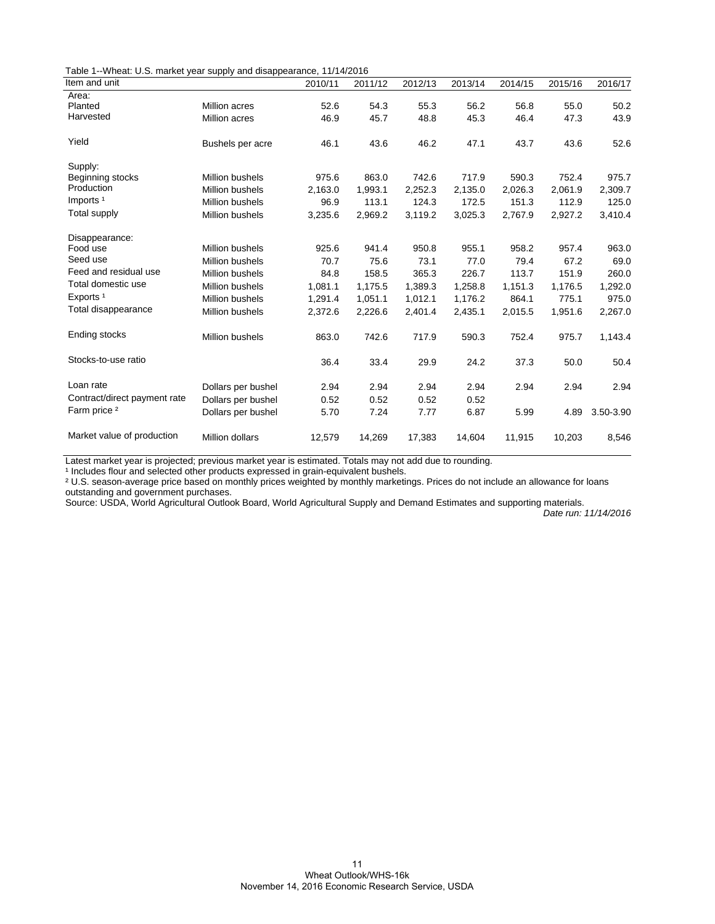|  | Table 1--Wheat: U.S. market year supply and disappearance, 11/14/2016 |  |  |  |  |
|--|-----------------------------------------------------------------------|--|--|--|--|
|--|-----------------------------------------------------------------------|--|--|--|--|

| Item and unit                |                        | 2010/11 | 2011/12 | 2012/13 | 2013/14 | 2014/15 | 2015/16 | 2016/17   |
|------------------------------|------------------------|---------|---------|---------|---------|---------|---------|-----------|
| Area:                        |                        |         |         |         |         |         |         |           |
| Planted                      | Million acres          | 52.6    | 54.3    | 55.3    | 56.2    | 56.8    | 55.0    | 50.2      |
| Harvested                    | Million acres          | 46.9    | 45.7    | 48.8    | 45.3    | 46.4    | 47.3    | 43.9      |
| Yield                        | Bushels per acre       | 46.1    | 43.6    | 46.2    | 47.1    | 43.7    | 43.6    | 52.6      |
| Supply:                      |                        |         |         |         |         |         |         |           |
| Beginning stocks             | <b>Million bushels</b> | 975.6   | 863.0   | 742.6   | 717.9   | 590.3   | 752.4   | 975.7     |
| Production                   | <b>Million bushels</b> | 2,163.0 | 1,993.1 | 2,252.3 | 2,135.0 | 2,026.3 | 2,061.9 | 2,309.7   |
| Imports <sup>1</sup>         | <b>Million bushels</b> | 96.9    | 113.1   | 124.3   | 172.5   | 151.3   | 112.9   | 125.0     |
| Total supply                 | <b>Million bushels</b> | 3,235.6 | 2,969.2 | 3,119.2 | 3,025.3 | 2,767.9 | 2,927.2 | 3,410.4   |
| Disappearance:               |                        |         |         |         |         |         |         |           |
| Food use                     | Million bushels        | 925.6   | 941.4   | 950.8   | 955.1   | 958.2   | 957.4   | 963.0     |
| Seed use                     | <b>Million bushels</b> | 70.7    | 75.6    | 73.1    | 77.0    | 79.4    | 67.2    | 69.0      |
| Feed and residual use        | Million bushels        | 84.8    | 158.5   | 365.3   | 226.7   | 113.7   | 151.9   | 260.0     |
| Total domestic use           | <b>Million bushels</b> | 1,081.1 | 1,175.5 | 1,389.3 | 1,258.8 | 1,151.3 | 1,176.5 | 1,292.0   |
| Exports <sup>1</sup>         | <b>Million bushels</b> | 1,291.4 | 1,051.1 | 1,012.1 | 1,176.2 | 864.1   | 775.1   | 975.0     |
| Total disappearance          | Million bushels        | 2,372.6 | 2,226.6 | 2,401.4 | 2,435.1 | 2,015.5 | 1,951.6 | 2,267.0   |
| Ending stocks                | <b>Million bushels</b> | 863.0   | 742.6   | 717.9   | 590.3   | 752.4   | 975.7   | 1,143.4   |
| Stocks-to-use ratio          |                        | 36.4    | 33.4    | 29.9    | 24.2    | 37.3    | 50.0    | 50.4      |
| Loan rate                    | Dollars per bushel     | 2.94    | 2.94    | 2.94    | 2.94    | 2.94    | 2.94    | 2.94      |
| Contract/direct payment rate | Dollars per bushel     | 0.52    | 0.52    | 0.52    | 0.52    |         |         |           |
| Farm price <sup>2</sup>      | Dollars per bushel     | 5.70    | 7.24    | 7.77    | 6.87    | 5.99    | 4.89    | 3.50-3.90 |
| Market value of production   | <b>Million dollars</b> | 12,579  | 14,269  | 17,383  | 14,604  | 11,915  | 10,203  | 8,546     |

Latest market year is projected; previous market year is estimated. Totals may not add due to rounding.

<sup>1</sup> Includes flour and selected other products expressed in grain-equivalent bushels.

² U.S. season-average price based on monthly prices weighted by monthly marketings. Prices do not include an allowance for loans outstanding and government purchases.

Source: USDA, World Agricultural Outlook Board, World Agricultural Supply and Demand Estimates and supporting materials.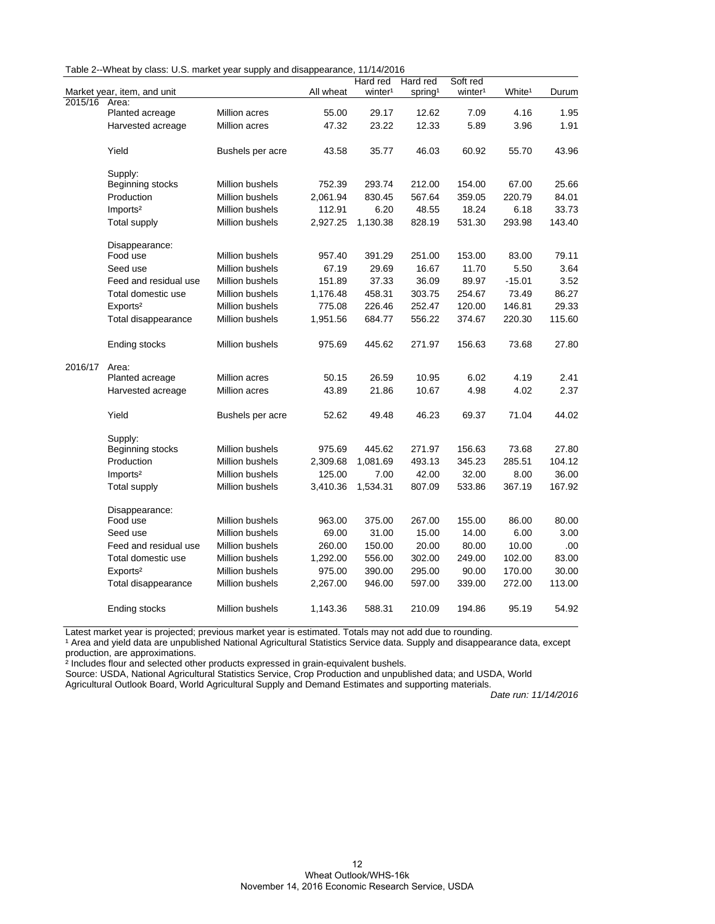| Table 2--Wheat by class: U.S. market year supply and disappearance, 11/14/2016 |  |  |  |  |
|--------------------------------------------------------------------------------|--|--|--|--|
|--------------------------------------------------------------------------------|--|--|--|--|

|         |                             |                        |           | Hard red            | Hard red            | Soft red            |                    |        |
|---------|-----------------------------|------------------------|-----------|---------------------|---------------------|---------------------|--------------------|--------|
|         | Market year, item, and unit |                        | All wheat | winter <sup>1</sup> | spring <sup>1</sup> | winter <sup>1</sup> | White <sup>1</sup> | Durum  |
| 2015/16 | Area:                       |                        |           |                     |                     |                     |                    |        |
|         | Planted acreage             | Million acres          | 55.00     | 29.17               | 12.62               | 7.09                | 4.16               | 1.95   |
|         | Harvested acreage           | Million acres          | 47.32     | 23.22               | 12.33               | 5.89                | 3.96               | 1.91   |
|         | Yield                       | Bushels per acre       | 43.58     | 35.77               | 46.03               | 60.92               | 55.70              | 43.96  |
|         | Supply:                     |                        |           |                     |                     |                     |                    |        |
|         | Beginning stocks            | Million bushels        | 752.39    | 293.74              | 212.00              | 154.00              | 67.00              | 25.66  |
|         | Production                  | Million bushels        | 2,061.94  | 830.45              | 567.64              | 359.05              | 220.79             | 84.01  |
|         | Imports <sup>2</sup>        | <b>Million bushels</b> | 112.91    | 6.20                | 48.55               | 18.24               | 6.18               | 33.73  |
|         | <b>Total supply</b>         | Million bushels        | 2,927.25  | 1,130.38            | 828.19              | 531.30              | 293.98             | 143.40 |
|         | Disappearance:              |                        |           |                     |                     |                     |                    |        |
|         | Food use                    | Million bushels        | 957.40    | 391.29              | 251.00              | 153.00              | 83.00              | 79.11  |
|         | Seed use                    | Million bushels        | 67.19     | 29.69               | 16.67               | 11.70               | 5.50               | 3.64   |
|         | Feed and residual use       | Million bushels        | 151.89    | 37.33               | 36.09               | 89.97               | $-15.01$           | 3.52   |
|         | Total domestic use          | Million bushels        | 1,176.48  | 458.31              | 303.75              | 254.67              | 73.49              | 86.27  |
|         | Exports <sup>2</sup>        | Million bushels        | 775.08    | 226.46              | 252.47              | 120.00              | 146.81             | 29.33  |
|         | Total disappearance         | Million bushels        | 1,951.56  | 684.77              | 556.22              | 374.67              | 220.30             | 115.60 |
|         | Ending stocks               | Million bushels        | 975.69    | 445.62              | 271.97              | 156.63              | 73.68              | 27.80  |
| 2016/17 | Area:                       |                        |           |                     |                     |                     |                    |        |
|         | Planted acreage             | Million acres          | 50.15     | 26.59               | 10.95               | 6.02                | 4.19               | 2.41   |
|         | Harvested acreage           | Million acres          | 43.89     | 21.86               | 10.67               | 4.98                | 4.02               | 2.37   |
|         | Yield                       | Bushels per acre       | 52.62     | 49.48               | 46.23               | 69.37               | 71.04              | 44.02  |
|         | Supply:                     |                        |           |                     |                     |                     |                    |        |
|         | Beginning stocks            | Million bushels        | 975.69    | 445.62              | 271.97              | 156.63              | 73.68              | 27.80  |
|         | Production                  | Million bushels        | 2,309.68  | 1,081.69            | 493.13              | 345.23              | 285.51             | 104.12 |
|         | Imports <sup>2</sup>        | Million bushels        | 125.00    | 7.00                | 42.00               | 32.00               | 8.00               | 36.00  |
|         | <b>Total supply</b>         | Million bushels        | 3,410.36  | 1,534.31            | 807.09              | 533.86              | 367.19             | 167.92 |
|         | Disappearance:              |                        |           |                     |                     |                     |                    |        |
|         | Food use                    | Million bushels        | 963.00    | 375.00              | 267.00              | 155.00              | 86.00              | 80.00  |
|         | Seed use                    | <b>Million bushels</b> | 69.00     | 31.00               | 15.00               | 14.00               | 6.00               | 3.00   |
|         | Feed and residual use       | <b>Million bushels</b> | 260.00    | 150.00              | 20.00               | 80.00               | 10.00              | .00    |
|         | Total domestic use          | <b>Million bushels</b> | 1,292.00  | 556.00              | 302.00              | 249.00              | 102.00             | 83.00  |
|         | Exports <sup>2</sup>        | Million bushels        | 975.00    | 390.00              | 295.00              | 90.00               | 170.00             | 30.00  |
|         | Total disappearance         | Million bushels        | 2,267.00  | 946.00              | 597.00              | 339.00              | 272.00             | 113.00 |
|         | Ending stocks               | Million bushels        | 1,143.36  | 588.31              | 210.09              | 194.86              | 95.19              | 54.92  |

Latest market year is projected; previous market year is estimated. Totals may not add due to rounding.

<sup>1</sup> Area and yield data are unpublished National Agricultural Statistics Service data. Supply and disappearance data, except production, are approximations.

² Includes flour and selected other products expressed in grain-equivalent bushels.

Source: USDA, National Agricultural Statistics Service, Crop Production and unpublished data; and USDA, World

Agricultural Outlook Board, World Agricultural Supply and Demand Estimates and supporting materials.

..<br>Date run: 11/14/2016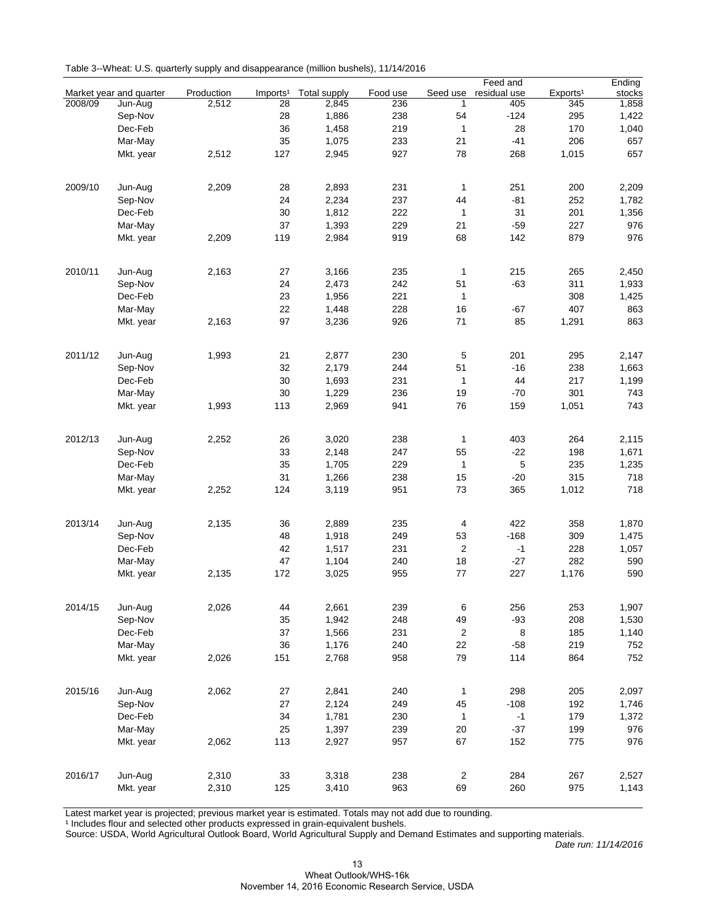|         |                         |            |                      |                     |          |                  | Feed and     |                      | Ending |
|---------|-------------------------|------------|----------------------|---------------------|----------|------------------|--------------|----------------------|--------|
|         | Market year and quarter | Production | Imports <sup>1</sup> | <b>Total supply</b> | Food use | Seed use         | residual use | Exports <sup>1</sup> | stocks |
| 2008/09 | Jun-Aug                 | 2,512      | 28                   | 2,845               | 236      | 1                | 405          | 345                  | 1,858  |
|         | Sep-Nov                 |            | 28                   | 1,886               | 238      | 54               | $-124$       | 295                  | 1,422  |
|         | Dec-Feb                 |            | 36                   | 1,458               | 219      | $\mathbf{1}$     | 28           | 170                  | 1,040  |
|         | Mar-May                 |            | 35                   | 1,075               | 233      | 21               | $-41$        | 206                  | 657    |
|         | Mkt. year               | 2,512      | 127                  | 2,945               | 927      | 78               | 268          | 1,015                | 657    |
|         |                         |            |                      |                     |          |                  |              |                      |        |
| 2009/10 | Jun-Aug                 | 2,209      | 28                   | 2,893               | 231      | $\mathbf{1}$     | 251          | 200                  | 2,209  |
|         | Sep-Nov                 |            | 24                   | 2,234               | 237      | 44               | $-81$        | 252                  | 1,782  |
|         | Dec-Feb                 |            | 30                   | 1,812               | 222      | $\mathbf{1}$     | 31           | 201                  | 1,356  |
|         | Mar-May                 |            | 37                   | 1,393               | 229      | 21               | $-59$        | 227                  | 976    |
|         | Mkt. year               | 2,209      | 119                  | 2,984               | 919      | 68               | 142          | 879                  | 976    |
|         |                         |            |                      |                     |          |                  |              |                      |        |
| 2010/11 | Jun-Aug                 | 2,163      | 27                   | 3,166               | 235      | $\mathbf{1}$     | 215          | 265                  | 2,450  |
|         | Sep-Nov                 |            | 24                   | 2,473               | 242      | 51               | $-63$        | 311                  | 1,933  |
|         | Dec-Feb                 |            | 23                   | 1,956               | 221      | $\mathbf{1}$     |              | 308                  | 1,425  |
|         | Mar-May                 |            | 22                   | 1,448               | 228      | 16               | -67          | 407                  | 863    |
|         | Mkt. year               | 2,163      | 97                   | 3,236               | 926      | 71               | 85           | 1,291                | 863    |
|         |                         |            |                      |                     |          |                  |              |                      |        |
| 2011/12 | Jun-Aug                 | 1,993      | 21                   | 2,877               | 230      | $\mathbf 5$      | 201          | 295                  | 2,147  |
|         | Sep-Nov                 |            | 32                   | 2,179               | 244      | 51               | $-16$        | 238                  | 1,663  |
|         | Dec-Feb                 |            | 30                   | 1,693               | 231      | $\mathbf{1}$     | 44           | 217                  | 1,199  |
|         | Mar-May                 |            | 30                   | 1,229               | 236      | 19               | $-70$        | 301                  | 743    |
|         | Mkt. year               | 1,993      | 113                  | 2,969               | 941      | 76               | 159          | 1,051                | 743    |
|         |                         |            |                      |                     |          |                  |              |                      |        |
| 2012/13 | Jun-Aug                 | 2,252      | 26                   | 3,020               | 238      | $\mathbf{1}$     | 403          | 264                  | 2,115  |
|         | Sep-Nov                 |            | 33                   | 2,148               | 247      | 55               | $-22$        | 198                  | 1,671  |
|         | Dec-Feb                 |            | 35                   | 1,705               | 229      | $\mathbf{1}$     | 5            | 235                  | 1,235  |
|         | Mar-May                 |            | 31                   | 1,266               | 238      | 15               | $-20$        | 315                  | 718    |
|         | Mkt. year               | 2,252      | 124                  | 3,119               | 951      | 73               | 365          | 1,012                | 718    |
|         |                         |            |                      |                     |          |                  |              |                      |        |
| 2013/14 | Jun-Aug                 | 2,135      | 36                   | 2,889               | 235      | 4                | 422          | 358                  | 1,870  |
|         | Sep-Nov                 |            | 48                   | 1,918               | 249      | 53               | $-168$       | 309                  | 1,475  |
|         | Dec-Feb                 |            | 42                   | 1,517               | 231      | $\overline{c}$   | $-1$         | 228                  | 1,057  |
|         | Mar-May                 |            | 47                   | 1,104               | 240      | 18               | $-27$        | 282                  | 590    |
|         |                         |            |                      |                     |          | 77               |              |                      |        |
|         | Mkt. year               | 2,135      | 172                  | 3,025               | 955      |                  | 227          | 1,176                | 590    |
| 2014/15 | Jun-Aug                 | 2,026      | 44                   | 2,661               | 239      | 6                | 256          | 253                  | 1,907  |
|         | Sep-Nov                 |            | 35                   | 1,942               | 248      | 49               | $-93$        | 208                  | 1,530  |
|         | Dec-Feb                 |            |                      |                     |          |                  |              |                      |        |
|         |                         |            | 37                   | 1,566               | 231      | $\sqrt{2}$       | 8            | 185                  | 1,140  |
|         | Mar-May                 |            | 36                   | 1,176               | 240      | 22               | $-58$        | 219                  | 752    |
|         | Mkt. year               | 2,026      | 151                  | 2,768               | 958      | 79               | 114          | 864                  | 752    |
| 2015/16 | Jun-Aug                 | 2,062      | 27                   | 2,841               | 240      | 1                | 298          | 205                  | 2,097  |
|         |                         |            |                      |                     |          |                  |              |                      |        |
|         | Sep-Nov                 |            | 27                   | 2,124               | 249      | 45               | $-108$       | 192                  | 1,746  |
|         | Dec-Feb                 |            | 34                   | 1,781               | 230      | 1                | $-1$         | 179                  | 1,372  |
|         | Mar-May                 |            | 25                   | 1,397               | 239      | 20               | $-37$        | 199                  | 976    |
|         | Mkt. year               | 2,062      | 113                  | 2,927               | 957      | 67               | 152          | 775                  | 976    |
|         |                         |            |                      |                     |          |                  |              |                      |        |
| 2016/17 | Jun-Aug                 | 2,310      | 33                   | 3,318               | 238      | $\boldsymbol{2}$ | 284          | 267                  | 2,527  |
|         | Mkt. year               | 2,310      | 125                  | 3,410               | 963      | 69               | 260          | 975                  | 1,143  |

Latest market year is projected; previous market year is estimated. Totals may not add due to rounding.

<sup>1</sup> Includes flour and selected other products expressed in grain-equivalent bushels.

Source: USDA, World Agricultural Outlook Board, World Agricultural Supply and Demand Estimates and supporting materials.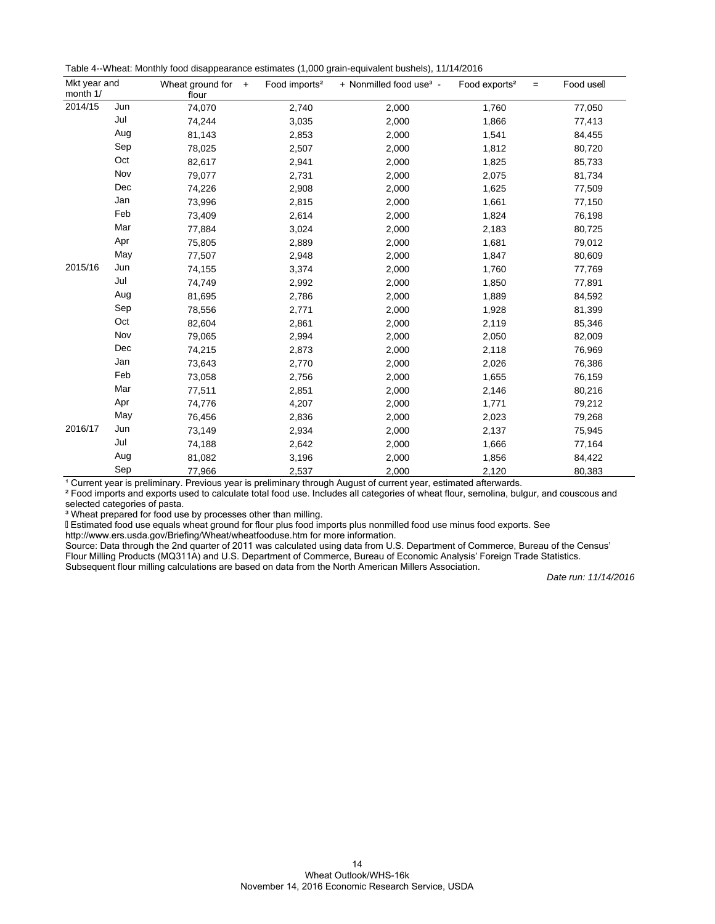| Table 4--Wheat: Monthly food disappearance estimates (1,000 grain-equivalent bushels), 11/14/2016 |  |  |  |
|---------------------------------------------------------------------------------------------------|--|--|--|
|---------------------------------------------------------------------------------------------------|--|--|--|

| Mkt year and<br>month 1/ |     | Wheat ground for $+$<br>flour | Food imports <sup>2</sup> | + Nonmilled food use <sup>3</sup> - | Food exports <sup>2</sup><br>$=$ | Food usell |
|--------------------------|-----|-------------------------------|---------------------------|-------------------------------------|----------------------------------|------------|
| 2014/15                  | Jun | 74,070                        | 2,740                     | 2,000                               | 1,760                            | 77,050     |
|                          | Jul | 74,244                        | 3,035                     | 2,000                               | 1,866                            | 77,413     |
|                          | Aug | 81,143                        | 2,853                     | 2,000                               | 1,541                            | 84,455     |
|                          | Sep | 78,025                        | 2,507                     | 2,000                               | 1,812                            | 80,720     |
|                          | Oct | 82,617                        | 2,941                     | 2,000                               | 1,825                            | 85,733     |
|                          | Nov | 79,077                        | 2,731                     | 2,000                               | 2,075                            | 81,734     |
|                          | Dec | 74,226                        | 2,908                     | 2,000                               | 1,625                            | 77,509     |
|                          | Jan | 73,996                        | 2,815                     | 2,000                               | 1,661                            | 77,150     |
| 2015/16                  | Feb | 73,409                        | 2,614                     | 2,000                               | 1,824                            | 76,198     |
|                          | Mar | 77,884                        | 3,024                     | 2,000                               | 2,183                            | 80,725     |
|                          | Apr | 75,805                        | 2,889                     | 2,000                               | 1,681                            | 79,012     |
|                          | May | 77,507                        | 2,948                     | 2,000                               | 1,847                            | 80,609     |
|                          | Jun | 74,155                        | 3,374                     | 2,000                               | 1,760                            | 77,769     |
|                          | Jul | 74,749                        | 2,992                     | 2,000                               | 1,850                            | 77,891     |
|                          | Aug | 81,695                        | 2,786                     | 2,000                               | 1,889                            | 84,592     |
|                          | Sep | 78,556                        | 2,771                     | 2,000                               | 1,928                            | 81,399     |
|                          | Oct | 82,604                        | 2,861                     | 2,000                               | 2,119                            | 85,346     |
|                          | Nov | 79,065                        | 2,994                     | 2,000                               | 2,050                            | 82,009     |
|                          | Dec | 74,215                        | 2,873                     | 2,000                               | 2,118                            | 76,969     |
|                          | Jan | 73,643                        | 2,770                     | 2,000                               | 2,026                            | 76,386     |
|                          | Feb | 73,058                        | 2,756                     | 2,000                               | 1,655                            | 76,159     |
|                          | Mar | 77,511                        | 2,851                     | 2,000                               | 2,146                            | 80,216     |
|                          | Apr | 74,776                        | 4,207                     | 2,000                               | 1,771                            | 79,212     |
|                          | May | 76,456                        | 2,836                     | 2,000                               | 2,023                            | 79,268     |
| 2016/17                  | Jun | 73,149                        | 2,934                     | 2,000                               | 2,137                            | 75,945     |
|                          | Jul | 74,188                        | 2,642                     | 2,000                               | 1,666                            | 77,164     |
|                          | Aug | 81,082                        | 3,196                     | 2,000                               | 1,856                            | 84,422     |
|                          | Sep | 77,966                        | 2,537                     | 2,000                               | 2,120                            | 80,383     |

<sup>1</sup> Current year is preliminary. Previous year is preliminary through August of current year, estimated afterwards.

² Food imports and exports used to calculate total food use. Includes all categories of wheat flour, semolina, bulgur, and couscous and selected categories of pasta.

<sup>3</sup> Wheat prepared for food use by processes other than milling.

Estimated food use equals wheat ground for flour plus food imports plus nonmilled food use minus food exports. See

http://www.ers.usda.gov/Briefing/Wheat/wheatfooduse.htm for more information.

Source: Data through the 2nd quarter of 2011 was calculated using data from U.S. Department of Commerce, Bureau of the Census' Flour Milling Products (MQ311A) and U.S. Department of Commerce, Bureau of Economic Analysis' Foreign Trade Statistics. Subsequent flour milling calculations are based on data from the North American Millers Association.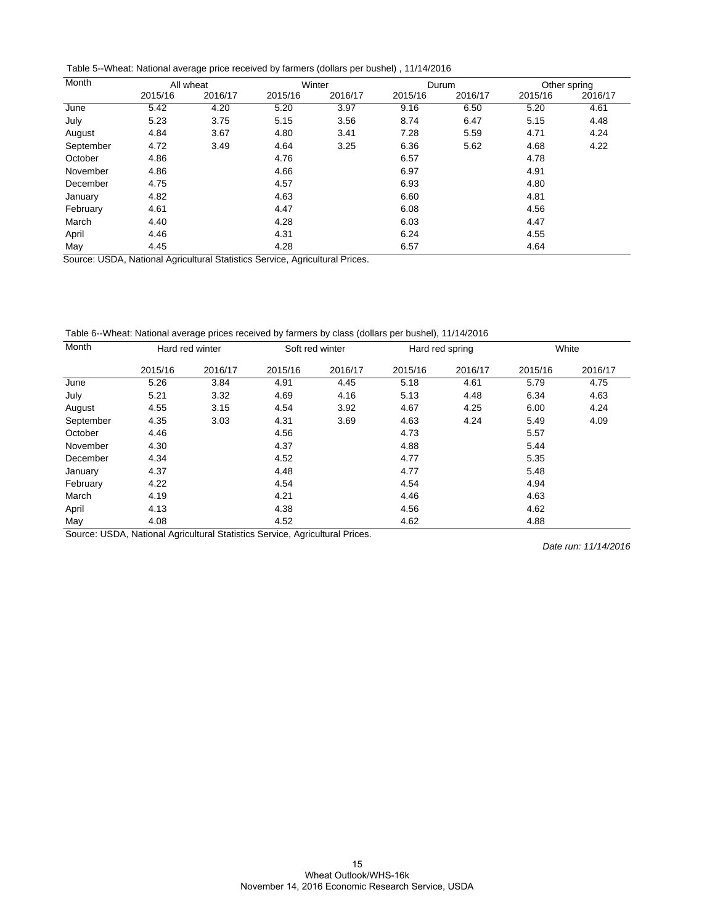Table 5--Wheat: National average price received by farmers (dollars per bushel) , 11/14/2016

| Month                     |                       | All wheat |                                       | Winter               |         | Durum   |         | Other spring |
|---------------------------|-----------------------|-----------|---------------------------------------|----------------------|---------|---------|---------|--------------|
|                           | 2015/16               | 2016/17   | 2015/16                               | 2016/17              | 2015/16 | 2016/17 | 2015/16 | 2016/17      |
| June                      | 5.42                  | 4.20      | 5.20                                  | 3.97                 | 9.16    | 6.50    | 5.20    | 4.61         |
| July                      | 5.23                  | 3.75      | 5.15                                  | 3.56                 | 8.74    | 6.47    | 5.15    | 4.48         |
| August                    | 4.84                  | 3.67      | 4.80                                  | 3.41                 | 7.28    | 5.59    | 4.71    | 4.24         |
| September                 | 4.72                  | 3.49      | 4.64                                  | 3.25                 | 6.36    | 5.62    | 4.68    | 4.22         |
| October                   | 4.86                  |           | 4.76                                  |                      | 6.57    |         | 4.78    |              |
| November                  | 4.86                  |           | 4.66                                  |                      | 6.97    |         | 4.91    |              |
| December                  | 4.75                  |           | 4.57                                  |                      | 6.93    |         | 4.80    |              |
| January                   | 4.82                  |           | 4.63                                  |                      | 6.60    |         | 4.81    |              |
| February                  | 4.61                  |           | 4.47                                  |                      | 6.08    |         | 4.56    |              |
| March                     | 4.40                  |           | 4.28                                  |                      | 6.03    |         | 4.47    |              |
| April                     | 4.46                  |           | 4.31                                  |                      | 6.24    |         | 4.55    |              |
| May<br>$\sim$<br>$\cdots$ | 4.45<br>.<br>$\cdots$ |           | 4.28<br>$\overline{\phantom{0}}$<br>. | $\sim$ $\sim$ $\sim$ | 6.57    |         | 4.64    |              |

Source: USDA, National Agricultural Statistics Service, Agricultural Prices.

Table 6--Wheat: National average prices received by farmers by class (dollars per bushel), 11/14/2016

| Month     |         | Hard red winter |         | Soft red winter |         | Hard red spring |         | White   |
|-----------|---------|-----------------|---------|-----------------|---------|-----------------|---------|---------|
|           | 2015/16 | 2016/17         | 2015/16 | 2016/17         | 2015/16 | 2016/17         | 2015/16 | 2016/17 |
| June      | 5.26    | 3.84            | 4.91    | 4.45            | 5.18    | 4.61            | 5.79    | 4.75    |
| July      | 5.21    | 3.32            | 4.69    | 4.16            | 5.13    | 4.48            | 6.34    | 4.63    |
| August    | 4.55    | 3.15            | 4.54    | 3.92            | 4.67    | 4.25            | 6.00    | 4.24    |
| September | 4.35    | 3.03            | 4.31    | 3.69            | 4.63    | 4.24            | 5.49    | 4.09    |
| October   | 4.46    |                 | 4.56    |                 | 4.73    |                 | 5.57    |         |
| November  | 4.30    |                 | 4.37    |                 | 4.88    |                 | 5.44    |         |
| December  | 4.34    |                 | 4.52    |                 | 4.77    |                 | 5.35    |         |
| January   | 4.37    |                 | 4.48    |                 | 4.77    |                 | 5.48    |         |
| February  | 4.22    |                 | 4.54    |                 | 4.54    |                 | 4.94    |         |
| March     | 4.19    |                 | 4.21    |                 | 4.46    |                 | 4.63    |         |
| April     | 4.13    |                 | 4.38    |                 | 4.56    |                 | 4.62    |         |
| May       | 4.08    |                 | 4.52    |                 | 4.62    |                 | 4.88    |         |

Source: USDA, National Agricultural Statistics Service, Agricultural Prices.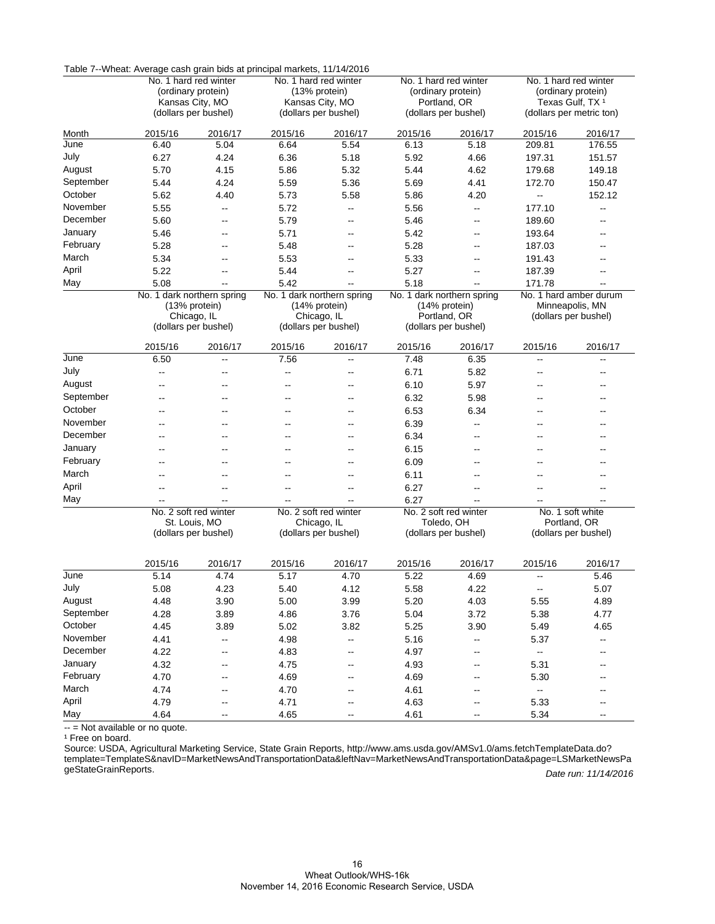|           | Table 7--Vyneat: Average cash grain bids at principal markets, 11/14/2016 |                       |                                         |                          |                                      |                       |                                                         |                          |  |
|-----------|---------------------------------------------------------------------------|-----------------------|-----------------------------------------|--------------------------|--------------------------------------|-----------------------|---------------------------------------------------------|--------------------------|--|
|           |                                                                           | No. 1 hard red winter |                                         | No. 1 hard red winter    |                                      | No. 1 hard red winter | No. 1 hard red winter                                   |                          |  |
|           | (ordinary protein)                                                        |                       | (13% protein)                           |                          | (ordinary protein)                   |                       | (ordinary protein)                                      |                          |  |
|           | Kansas City, MO<br>(dollars per bushel)                                   |                       | Kansas City, MO<br>(dollars per bushel) |                          | Portland, OR<br>(dollars per bushel) |                       | Texas Gulf, TX <sup>1</sup><br>(dollars per metric ton) |                          |  |
|           |                                                                           |                       |                                         |                          |                                      |                       |                                                         |                          |  |
| Month     | 2015/16                                                                   | 2016/17               | 2015/16                                 | 2016/17                  | 2015/16                              | 2016/17               | 2015/16                                                 | 2016/17                  |  |
| June      | 6.40                                                                      | 5.04                  | 6.64                                    | 5.54                     | 6.13                                 | 5.18                  | 209.81                                                  | 176.55                   |  |
| July      | 6.27                                                                      | 4.24                  | 6.36                                    | 5.18                     | 5.92                                 | 4.66                  | 197.31                                                  | 151.57                   |  |
| August    | 5.70                                                                      | 4.15                  | 5.86                                    | 5.32                     | 5.44                                 | 4.62                  | 179.68                                                  | 149.18                   |  |
| September | 5.44                                                                      | 4.24                  | 5.59                                    | 5.36                     | 5.69                                 | 4.41                  | 172.70                                                  | 150.47                   |  |
| October   | 5.62                                                                      | 4.40                  | 5.73                                    | 5.58                     | 5.86                                 | 4.20                  | --                                                      | 152.12                   |  |
| November  | 5.55                                                                      | --                    | 5.72                                    | --                       | 5.56                                 | --                    | 177.10                                                  | $\overline{\phantom{a}}$ |  |
| December  | 5.60                                                                      | $-$                   | 5.79                                    | $\overline{\phantom{a}}$ | 5.46                                 | $\overline{a}$        | 189.60                                                  | $\overline{\phantom{a}}$ |  |
| January   | 5.46                                                                      | --                    | 5.71                                    | --                       | 5.42                                 | --                    | 193.64                                                  | --                       |  |
| February  | 5.28                                                                      | --                    | 5.48                                    | --                       | 5.28                                 | --                    | 187.03                                                  | --                       |  |
| March     | 5.34                                                                      | --                    | 5.53                                    | --                       | 5.33                                 | --                    | 191.43                                                  | --                       |  |
| April     | 5.22                                                                      | Щ,                    | 5.44                                    | $-$                      | 5.27                                 | --                    | 187.39                                                  | --                       |  |
| May       | 5.08                                                                      | Ξ.                    | 5.42                                    | $-$                      | 5.18                                 | Щ,                    | 171.78                                                  |                          |  |
|           | No. 1 dark northern spring                                                |                       | No. 1 dark northern spring              |                          | No. 1 dark northern spring           |                       | No. 1 hard amber durum                                  |                          |  |
|           |                                                                           | (13% protein)         |                                         | (14% protein)            |                                      | (14% protein)         |                                                         | Minneapolis, MN          |  |
|           | Chicago, IL                                                               |                       | Chicago, IL                             |                          | Portland, OR                         |                       | (dollars per bushel)                                    |                          |  |
|           | (dollars per bushel)                                                      |                       | (dollars per bushel)                    |                          | (dollars per bushel)                 |                       |                                                         |                          |  |
|           | 2015/16                                                                   | 2016/17               | 2015/16                                 | 2016/17                  | 2015/16                              | 2016/17               | 2015/16                                                 | 2016/17                  |  |
| June      | 6.50                                                                      | --                    | 7.56                                    | $-$                      | 7.48                                 | 6.35                  | $\overline{a}$                                          | --                       |  |
| July      | --                                                                        | --                    | --                                      | --                       | 6.71                                 | 5.82                  | --                                                      | --                       |  |
| August    | --                                                                        | --                    | --                                      | --                       | 6.10                                 | 5.97                  | --                                                      | $-$                      |  |
| September | --                                                                        | --                    | --                                      | --                       | 6.32                                 | 5.98                  | --                                                      |                          |  |
| October   | --                                                                        | --                    | --                                      | --                       | 6.53                                 | 6.34                  |                                                         |                          |  |
| November  | --                                                                        | --                    | --                                      | --                       | 6.39                                 | --                    |                                                         |                          |  |
| December  | --                                                                        | --                    | --                                      | --                       | 6.34                                 | --                    | --                                                      | --                       |  |
| January   | --                                                                        | --                    | --                                      | --                       | 6.15                                 | --                    | --                                                      |                          |  |
| February  | --                                                                        | --                    | $\overline{a}$                          | --                       | 6.09                                 | $\overline{a}$        | --                                                      | $-$                      |  |
| March     | --                                                                        | --                    | --                                      | --                       | 6.11                                 | --                    | --                                                      |                          |  |
| April     | --                                                                        | --                    | --                                      | --                       | 6.27                                 | --                    | --                                                      |                          |  |
| May       |                                                                           | --                    |                                         |                          | 6.27                                 | --                    |                                                         | $\overline{a}$           |  |
|           |                                                                           | No. 2 soft red winter |                                         | No. 2 soft red winter    |                                      | No. 2 soft red winter |                                                         | No. 1 soft white         |  |
|           |                                                                           | St. Louis, MO         |                                         | Chicago, IL              |                                      | Toledo, OH            |                                                         | Portland, OR             |  |
|           | (dollars per bushel)                                                      |                       | (dollars per bushel)                    |                          | (dollars per bushel)                 |                       | (dollars per bushel)                                    |                          |  |
|           |                                                                           |                       |                                         |                          |                                      |                       |                                                         |                          |  |
|           | 2015/16                                                                   | 2016/17               | 2015/16                                 | 2016/17                  | 2015/16                              | 2016/17               | 2015/16                                                 | 2016/17                  |  |
| June      | 5.14                                                                      | 4.74                  | 5.17                                    | 4.70                     | 5.22                                 | 4.69                  | --                                                      | 5.46                     |  |
| July      | 5.08                                                                      | 4.23                  | 5.40                                    | 4.12                     | 5.58                                 | 4.22                  | --                                                      | 5.07                     |  |
| August    | 4.48                                                                      | 3.90                  | 5.00                                    | 3.99                     | 5.20                                 | 4.03                  | 5.55                                                    | 4.89                     |  |
| September | 4.28                                                                      | 3.89                  | 4.86                                    | 3.76                     | 5.04                                 | 3.72                  | 5.38                                                    | 4.77                     |  |
| October   | 4.45                                                                      | 3.89                  | 5.02                                    | 3.82                     | 5.25                                 | 3.90                  | 5.49                                                    | 4.65                     |  |
| November  | 4.41                                                                      | --                    | 4.98                                    | -−                       | 5.16                                 | --                    | 5.37                                                    | ⊷                        |  |
| December  | 4.22                                                                      | --                    | 4.83                                    | $\overline{\phantom{a}}$ | 4.97                                 | --                    | щ.                                                      | $\overline{\phantom{a}}$ |  |
| January   | 4.32                                                                      | --                    | 4.75                                    | --                       | 4.93                                 | --                    | 5.31                                                    |                          |  |
| February  | 4.70                                                                      | --                    | 4.69                                    | --                       | 4.69                                 | --                    | 5.30                                                    | --                       |  |
| March     | 4.74                                                                      | --                    | 4.70                                    | --                       | 4.61                                 | --                    | Щ.                                                      | --                       |  |
| April     | 4.79                                                                      | --                    | 4.71                                    | --                       | 4.63                                 | --                    | 5.33                                                    | --                       |  |
| May       | 4.64                                                                      | --                    | 4.65                                    | --                       | 4.61                                 | --                    | 5.34                                                    | -−                       |  |

Table 7--Wheat: Average cash grain bids at principal markets, 11/14/2016

-- = Not available or no quote. Ĭ.

<sup>1</sup> Free on board.

Date run: 11/14/2016 Source: USDA, Agricultural Marketing Service, State Grain Reports, http://www.ams.usda.gov/AMSv1.0/ams.fetchTemplateData.do? [template=TemplateS&navID=MarketNewsAndTransportationData&leftNav=MarketNewsAndTransportationData&page=LSMarketNewsPa](http://www.ams.usda.gov/AMSv1.0/ams.fetchTemplateData.do?template=TemplateS&navID=MarketNewsAndTransportationData&leftNav=MarketNewsAndTransportationData&page=LSMarketNewsPageStateGrainReports) geStateGrainReports.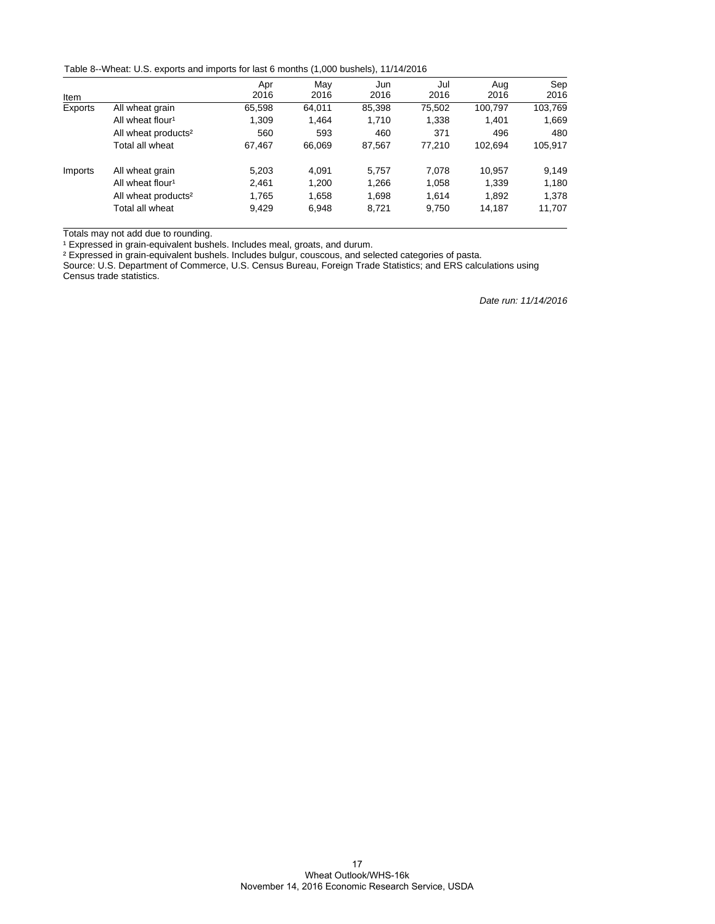Table 8--Wheat: U.S. exports and imports for last 6 months (1,000 bushels), 11/14/2016

|         |                                 | Apr    | May    | Jun    | Jul    | Aug     | Sep     |
|---------|---------------------------------|--------|--------|--------|--------|---------|---------|
| Item    |                                 | 2016   | 2016   | 2016   | 2016   | 2016    | 2016    |
| Exports | All wheat grain                 | 65,598 | 64,011 | 85,398 | 75,502 | 100,797 | 103,769 |
|         | All wheat flour <sup>1</sup>    | 1.309  | 1.464  | 1.710  | 1,338  | 1.401   | 1,669   |
|         | All wheat products <sup>2</sup> | 560    | 593    | 460    | 371    | 496     | 480     |
|         | Total all wheat                 | 67.467 | 66,069 | 87,567 | 77.210 | 102.694 | 105,917 |
| Imports | All wheat grain                 | 5.203  | 4.091  | 5.757  | 7.078  | 10.957  | 9.149   |
|         | All wheat flour <sup>1</sup>    | 2,461  | 1,200  | 1,266  | 1,058  | 1,339   | 1,180   |
|         | All wheat products <sup>2</sup> | 1.765  | 1,658  | 1,698  | 1.614  | 1,892   | 1,378   |
|         | Total all wheat                 | 9,429  | 6,948  | 8,721  | 9,750  | 14,187  | 11,707  |

Totals may not add due to rounding.

<sup>1</sup> Expressed in grain-equivalent bushels. Includes meal, groats, and durum.

² Expressed in grain-equivalent bushels. Includes bulgur, couscous, and selected categories of pasta.

Source: U.S. Department of Commerce, U.S. Census Bureau, Foreign Trade Statistics; and ERS calculations using Census trade statistics.